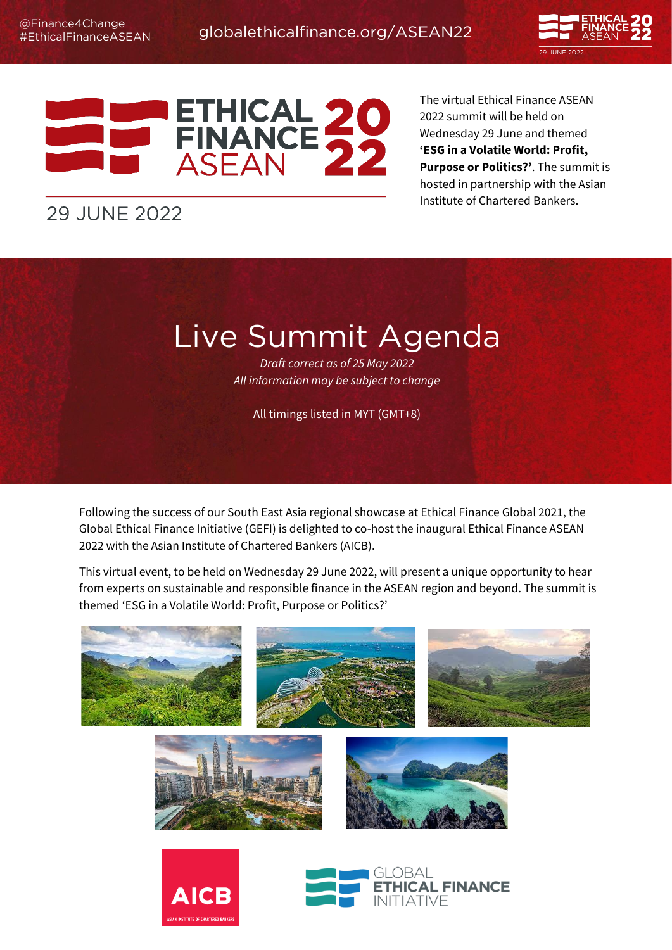



The virtual Ethical Finance ASEAN 2022 summit will be held on Wednesday 29 June and themed **'ESG in a Volatile World: Profit, Purpose or Politics?'**. The summit is hosted in partnership with the Asian Institute of Chartered Bankers.

## **29 JUNE 2022**

Live Summit Agenda *Draft correct as of 25 May 2022 All information may be subject to change*

All timings listed in MYT (GMT+8)

Following the success of our South East Asia regional showcase at Ethical Finance Global 2021, the Global Ethical Finance Initiative (GEFI) is delighted to co-host the inaugural Ethical Finance ASEAN 2022 with the Asian Institute of Chartered Bankers (AICB).

This virtual event, to be held on Wednesday 29 June 2022, will present a unique opportunity to hear from experts on sustainable and responsible finance in the ASEAN region and beyond. The summit is themed 'ESG in a Volatile World: Profit, Purpose or Politics?'

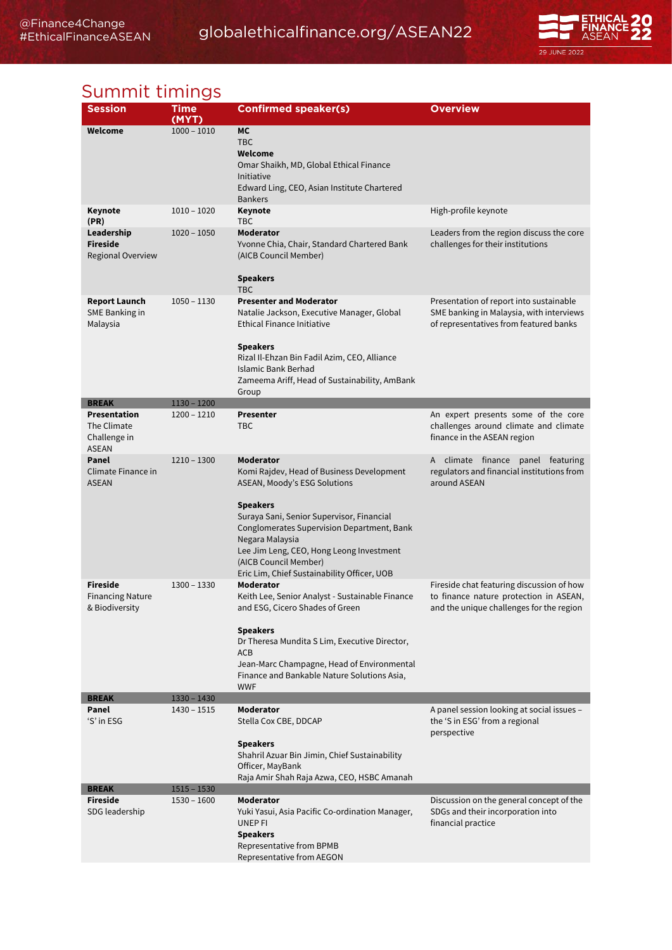## [globalethicalfinance.org/ASEAN22](https://ethicalfinancesummit.com/)



# Summit timings

| <b>Session</b>                                              | Time          | <b>Confirmed speaker(s)</b>                                                                                                                                                                                                                                                                                                                 | Overview                                                                                                                        |
|-------------------------------------------------------------|---------------|---------------------------------------------------------------------------------------------------------------------------------------------------------------------------------------------------------------------------------------------------------------------------------------------------------------------------------------------|---------------------------------------------------------------------------------------------------------------------------------|
|                                                             | (MYT)         |                                                                                                                                                                                                                                                                                                                                             |                                                                                                                                 |
| Welcome                                                     | $1000 - 1010$ | <b>MC</b><br><b>TBC</b><br>Welcome<br>Omar Shaikh, MD, Global Ethical Finance<br>Initiative<br>Edward Ling, CEO, Asian Institute Chartered<br><b>Bankers</b>                                                                                                                                                                                |                                                                                                                                 |
| Keynote                                                     | $1010 - 1020$ | Keynote                                                                                                                                                                                                                                                                                                                                     | High-profile keynote                                                                                                            |
| (PR)<br>Leadership<br><b>Fireside</b><br>Regional Overview  | $1020 - 1050$ | <b>TBC</b><br>Moderator<br>Yvonne Chia, Chair, Standard Chartered Bank<br>(AICB Council Member)<br><b>Speakers</b><br><b>TBC</b>                                                                                                                                                                                                            | Leaders from the region discuss the core<br>challenges for their institutions                                                   |
| <b>Report Launch</b><br>SME Banking in<br>Malaysia          | $1050 - 1130$ | <b>Presenter and Moderator</b><br>Natalie Jackson, Executive Manager, Global<br>Ethical Finance Initiative<br><b>Speakers</b><br>Rizal Il-Ehzan Bin Fadil Azim, CEO, Alliance<br>Islamic Bank Berhad<br>Zameema Ariff, Head of Sustainability, AmBank<br>Group                                                                              | Presentation of report into sustainable<br>SME banking in Malaysia, with interviews<br>of representatives from featured banks   |
| <b>BREAK</b>                                                | $1130 - 1200$ |                                                                                                                                                                                                                                                                                                                                             |                                                                                                                                 |
| Presentation<br>The Climate<br>Challenge in<br><b>ASEAN</b> | 1200 - 1210   | <b>Presenter</b><br>TBC                                                                                                                                                                                                                                                                                                                     | An expert presents some of the core<br>challenges around climate and climate<br>finance in the ASEAN region                     |
| Panel<br>Climate Finance in<br><b>ASEAN</b>                 | 1210 - 1300   | Moderator<br>Komi Rajdev, Head of Business Development<br>ASEAN, Moody's ESG Solutions<br><b>Speakers</b><br>Suraya Sani, Senior Supervisor, Financial<br>Conglomerates Supervision Department, Bank<br>Negara Malaysia<br>Lee Jim Leng, CEO, Hong Leong Investment<br>(AICB Council Member)<br>Eric Lim, Chief Sustainability Officer, UOB | A climate finance panel featuring<br>regulators and financial institutions from<br>around ASEAN                                 |
| <b>Fireside</b><br>Financing Nature<br>& Biodiversity       | $1300 - 1330$ | <b>Moderator</b><br>Keith Lee, Senior Analyst - Sustainable Finance<br>and ESG, Cicero Shades of Green<br><b>Speakers</b><br>Dr Theresa Mundita S Lim, Executive Director,<br><b>ACB</b><br>Jean-Marc Champagne, Head of Environmental<br>Finance and Bankable Nature Solutions Asia,<br><b>WWF</b>                                         | Fireside chat featuring discussion of how<br>to finance nature protection in ASEAN,<br>and the unique challenges for the region |
| <b>BREAK</b>                                                | $1330 - 1430$ |                                                                                                                                                                                                                                                                                                                                             |                                                                                                                                 |
| Panel<br>'S' in ESG                                         | $1430 - 1515$ | Moderator<br>Stella Cox CBE, DDCAP<br><b>Speakers</b><br>Shahril Azuar Bin Jimin, Chief Sustainability<br>Officer, MayBank<br>Raja Amir Shah Raja Azwa, CEO, HSBC Amanah                                                                                                                                                                    | A panel session looking at social issues -<br>the 'S in ESG' from a regional<br>perspective                                     |
| <b>BREAK</b>                                                | $1515 - 1530$ |                                                                                                                                                                                                                                                                                                                                             |                                                                                                                                 |
| <b>Fireside</b><br>SDG leadership                           | 1530 - 1600   | Moderator<br>Yuki Yasui, Asia Pacific Co-ordination Manager,<br>UNEP FI<br><b>Speakers</b><br>Representative from BPMB<br>Representative from AEGON                                                                                                                                                                                         | Discussion on the general concept of the<br>SDGs and their incorporation into<br>financial practice                             |